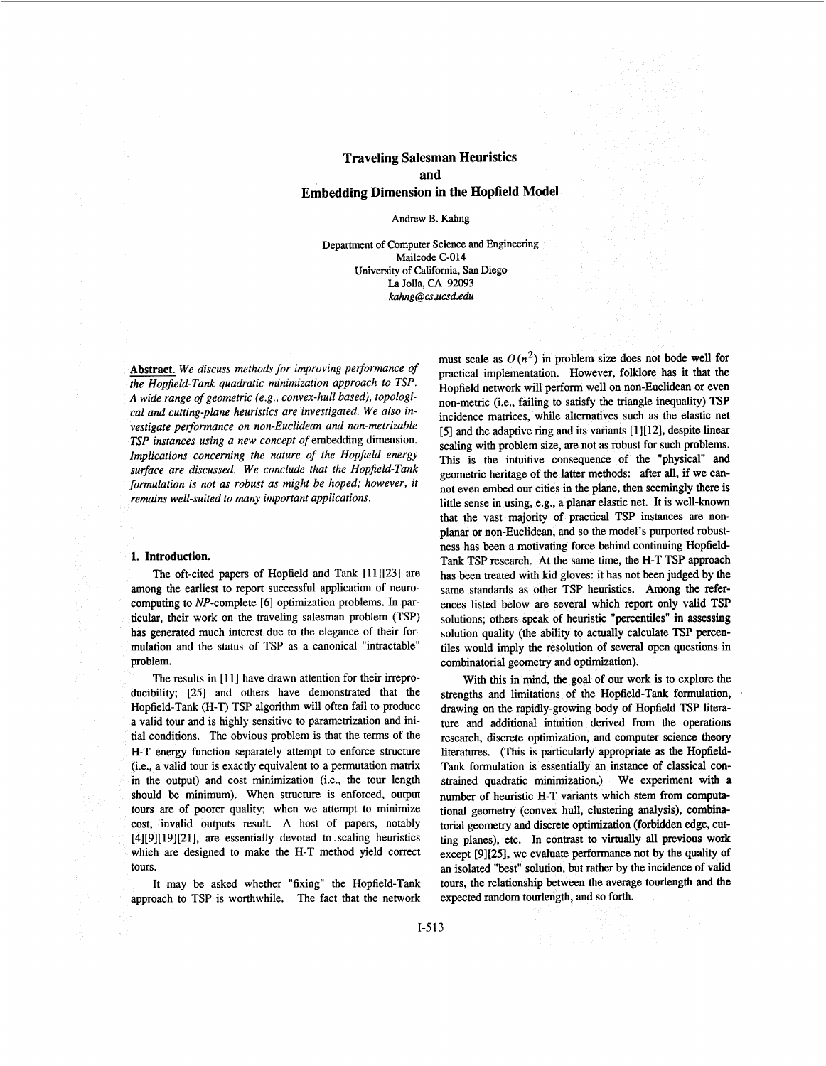# **Traveling Salesman Heuristics and Embedding Dimension in the Hopfield Model**

Andrew B. Kahng

Department of Computer Science **and** Engineering Mailcode C-014 University of California, **San** Diego La Jolla, CA **92093**  *[kahng@cs,ucsd.edu](mailto:kahng@cs,ucsd.edu)* 

Abstract. We discuss methods for improving performance of *the Hopfield-Tank quadratic minimization approach to TSP. A wide range of geometric (e.g., convex-hull based), topological and cutting-plane heuristics are investigated. We also investigate performance on non-Euclidean and non-metrizable TSP instances using a new concept of* embedding dimension. *Implications concerning the nature of the Hopjeld energy*  surface are discussed. We conclude that the Hopfield-Tank *formulation is not as robust as might be hoped; however, it remains well-suited to many important applications.* 

#### **1. Introduction.**

The oft-cited papers of Hopfield and Tank [11][23] are among the earliest to report successful application of neurocomputing to NP-complete [6] optimization problems. In particular, their work on the traveling salesman problem (TSP) has generated much interest due to the elegance of their formulation and the status of TSP as a canonical "intractable" problem.

The results in [11] have drawn attention for their irreproducibility; [25] and others have demonstrated that the Hopfield-Tank (H-T) TSP algorithm will often fail to produce a valid tour and is highly sensitive to parametrization and initial conditions. The obvious problem is that the terms of the H-T energy function separately attempt to enforce structure (i.e., a valid tour is exactly equivalent to a permutation matrix in the output) and cost minimization (i.e.. the tour length should be minimum). When structure is enforced, output tours are of poorer quality; when we attempt to minimize cost, invalid outputs result. **A** host of papers, notably [41[91[191[21], are essentially devoted to scaling heuristics which are designed to make the H-T method yield correct tours.

It may be asked whether "fixing" the Hopfield-Tank approach to TSP is worthwhile. The fact that the network

must scale as  $O(n^2)$  in problem size does not bode well for practical implementation. However, folklore has it that the Hopfield network will perform well on non-Euclidean or even non-metric (i.e., failing to satisfy the triangle inequality) TSP incidence matrices, while alternatives such as the elastic net [5] and the adaptive ring and its variants [1][12], despite linear scaling with problem size, are not as robust for such problems. This is the intuitive consequence of the "physical" and geometric heritage of the latter methods: after all, if we cannot even embed our cities in the plane, then seemingly there is little sense in using, e.g., a planar elastic net. It is well-known that the vast majority of practical TSP instances are nonplanar or non-Euclidean, and so the model's purported robustness has been a motivating force behind continuing Hopfield-Tank TSP research. At the same time, the H-T TSP approach has been treated with kid gloves: it has not been judged by the same standards as other TSP heuristics. Among the references listed below are several which report only valid TSP solutions; others speak of heuristic "percentiles" in assessing solution quality (the ability to actually calculate TSP percentiles would imply the resolution of several open questions in combinatorial geometry and optimization).

With this in mind, the goal of our work is to explore the strengths and limitations of the Hopfield-Tank formulation, drawing on the rapidly-growing body of Hopfield TSP literature and additional intuition derived from the operations research, discrete optimization, and computer science theory literatures. (This is particularly appropriate as the Hopfield-Tank formulation is essentially an instance of classical constrained quadratic minimization.) We experiment with a number of heuristic H-T variants which stem from computational geometry (convex hull, clustering analysis), combinatorial geometry and discrete optimization (forbidden edge, cutting planes), etc. In contrast to virtually all previous work except [9][25], we evaluate performance not by the **quality** of an isolated "best" solution, but rather by the incidence of **valid**  tours, the relationship between the average tourlength and the expected random tourlength, and **so** forth.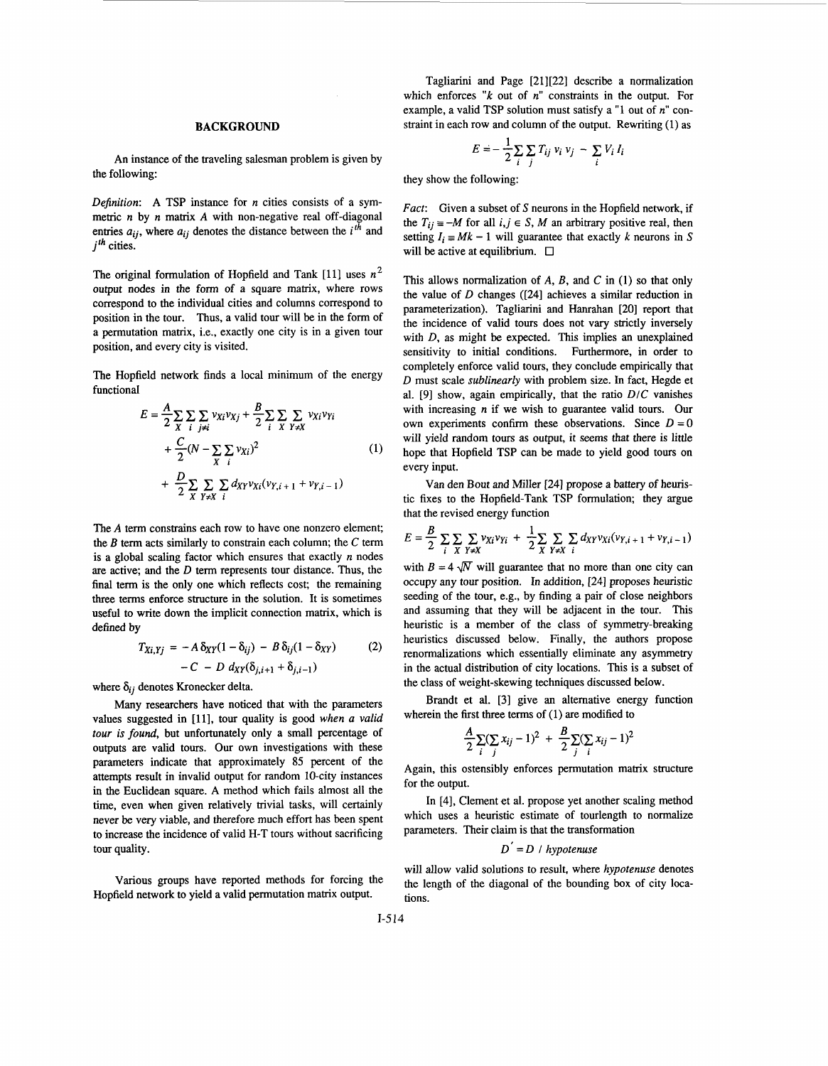#### **BACKGROUND**

An instance of the traveling salesman problem is given by the following:

*Definition:* A TSP instance for *n* cities consists of a symmetric *n* by *n* matrix *A* with non-negative real off-diagonal entries  $a_{ii}$ , where  $a_{ii}$  denotes the distance between the  $i^{th}$  and *jth* cities.

The original formulation of Hopfield and Tank [ll] uses *n2*  output nodes in the form of a square matrix, where rows correspond to the individual cities and columns correspond to position in the tour. Thus, a valid tour will be in the form of a permutation matrix, i.e., exactly one city is in a given tour position, and every city is visited.

The Hopfield network finds a local minimum of the energy functional

$$
E = \frac{A}{2} \sum_{X} \sum_{i} \sum_{j \neq i} v_{Xi} v_{Xi} + \frac{B}{2} \sum_{i} \sum_{X} \sum_{Y \neq X} v_{Xi} v_{Yi}
$$
  
+ 
$$
\frac{C}{2} (N - \sum_{X} \sum_{i} v_{Xi})^{2}
$$
  
+ 
$$
\frac{D}{2} \sum_{X} \sum_{Y \neq X} \sum_{i} d_{XY} v_{Xi} (v_{Y,i+1} + v_{Y,i-1})
$$
 (1)

The *A* term constrains each row to have one nonzero element: the *B* term acts similarly to constrain each column: the *C* term is a global scaling factor which ensures that exactly *n* nodes are active: and the *D* term represents tour distance. Thus, the final term is the only one which reflects cost: the remaining three terms enforce structure in the solution. It is sometimes useful to write down the implicit connection matrix, which is defined by

$$
T_{Xi,Yj} = -A \, \delta_{XY} (1 - \delta_{ij}) - B \, \delta_{ij} (1 - \delta_{XY})
$$
  
-C - D \, d\_{XY} (\delta\_{j,i+1} + \delta\_{j,i-1}) (2)

where  $\delta_{ij}$  denotes Kronecker delta.

Many researchers have noticed that with the parameters values suggested in **[ll],** tour quality is good *when* a *valid tour is found,* but unfortunately only a small percentage of outputs are valid tours. Our own investigations with these parameters indicate that approximately 85 percent of the attempts result in invalid output for random 10-city instances in the Euclidean square. A method which fails almost all the time, even when given relatively trivial tasks, will certainly never be very viable, and therefore much effort has been spent to increase the incidence of valid H-T tours without sacrificing tour quality.

Various groups have reported methods for forcing the Hopfield network to yield a valid permutation matrix output.

Tagliarini and Page **[21][22]** describe a normalization which enforces  $"k$  out of  $n"$  constraints in the output. For example, a valid TSP solution must satisfy a **"1** out of *n"* constraint in each row and column of the output. Rewriting (1) as

$$
E = -\frac{1}{2} \sum_{i} \sum_{j} T_{ij} v_i v_j - \sum_{i} V_i I_i
$$

they show the following:

*Fact:* Given a subset of S neurons in the Hopfield network, if the  $T_{ij} = -M$  for all  $i, j \in S$ , M an arbitrary positive real, then setting  $I_i = Mk - 1$  will guarantee that exactly *k* neurons in *S* will be active at equilibrium.  $\Box$ 

This allows normalization of *A, B,* and *C* in (1) so that only the value of *D* changes **([24]** achieves a similar reduction in parameterization). Tagliarini and Hanrahan **[20]** report that the incidence of valid tours does not vary strictly inversely with *D*, as might be expected. This implies an unexplained sensitivity to initial conditions. Furthermore, in order to completely enforce valid tours, they conclude empirically that *D* must scale *sublinearly* with problem size. In fact, Hegde et al. [9] show, again empirically, that the ratio  $D/C$  vanishes with increasing *n* if we wish to guarantee valid tours. Our own experiments confirm these observations. Since  $D = 0$ will yield random tours as output, it seems that there is little hope that Hopfield TSP can be made to yield good tours on every input.

Van den Bout and Miller **[24]** propose a battery of heuristic fixes to the Hopfield-Tank TSP formulation; they argue that the revised energy function

$$
E = \frac{B}{2} \sum_{i} \sum_{X} \sum_{Y \neq X} v_{Xi} v_{Yi} + \frac{1}{2} \sum_{X} \sum_{Y \neq X} \sum_{i} d_{XY} v_{Xi} (v_{Y,i+1} + v_{Y,i-1})
$$

with  $B = 4\sqrt{N}$  will guarantee that no more than one city can occupy any tour position. In addition, **[24]** proposes heuristic seeding of the tour, e.g., by finding a pair of close neighbors and assuming that they will be adjacent in the tour. This heuristic is a member of the class of symmetry-breaking heuristics discussed below. Finally, the authors propose renormalizations which essentially eliminate any asymmetry in the actual distribution of city locations. This is a subset of the class of weight-skewing techniques discussed below.

Brandt et al. **[3]** give an alternative energy function wherein the first three terms of (1) are modified to

$$
\frac{A}{2}\sum_{i}\sum_{j}(x_{ij}-1)^{2} + \frac{B}{2}\sum_{j}\sum_{i}(x_{ij}-1)^{2}
$$

Again, this ostensibly enforces permutation matrix structure for the output.

In **[4],** Clement et al. propose yet another scaling method which uses a heuristic estimate of tourlength to normalize parameters. Their claim is that the transformation

$$
D^{'}=D/hypotenuse
$$

will allow valid solutions to result, where *hypotenuse* denotes the length of the diagonal of the bounding box of city locations.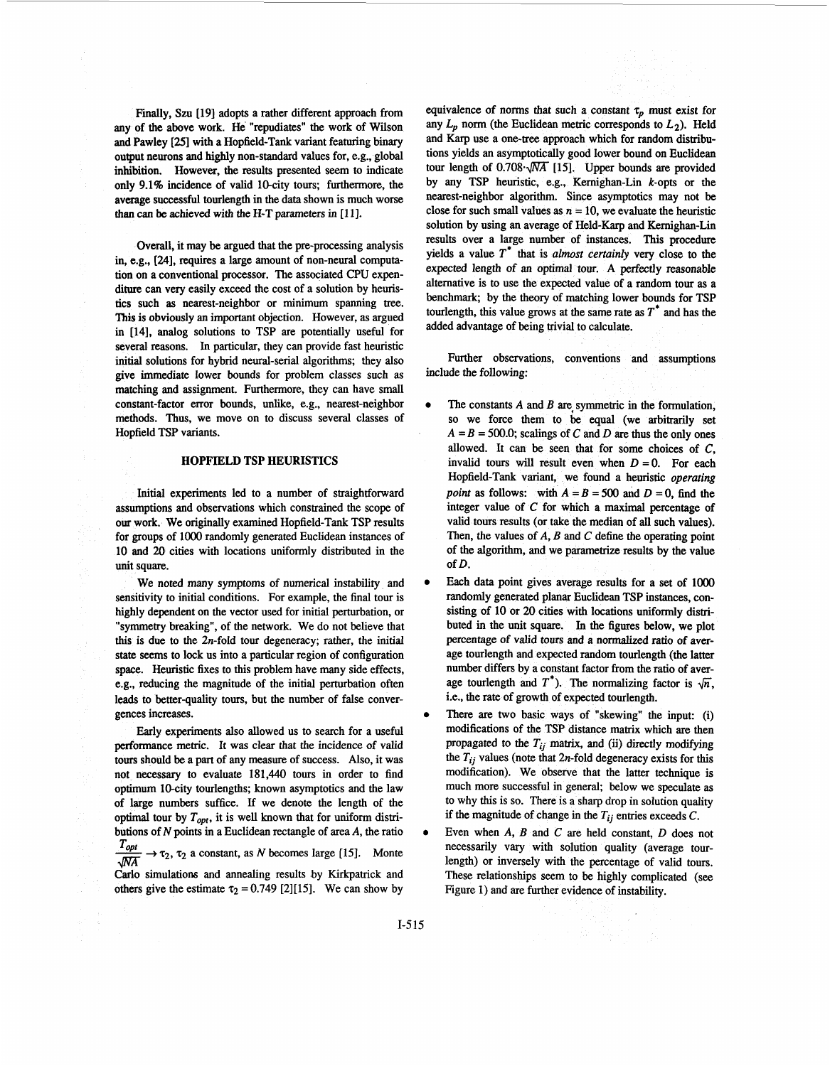Finally, **Szu** [19] adopts a rather different approach from any of the above work. He "repudiates" the work of Wilson and Pawley [25] with a Hopfield-Tank variant featuring binary **output** neurons and highly non-standard values for, e.g., global inhibition. However, the results presented seem to indicate only **9.1%** incidence of valid IO-city tours; furthermore, the average successful tourlength in the data shown is much worse **than** can **be** achieved with the H-T parameters in **[I 13.** 

Overall, it may be argued that the pre-processing analysis in, e.g., [24], requires a large amount of non-neural computation on a conventional processor. The associated CPU expenditure can very easily exceed the cost of a solution by heuristics such **as** nearest-neighbor or minimum spanning tree. This is obviously an important objection. However, **as** argued in [14], analog solutions to TSP are potentially useful for several reasons. In particular, they can provide fast heuristic initial solutions for hybrid neural-serial algorithms; they also give immediate lower bounds for problem classes such **as**  matching and assignment. Furthermore, they can have small constant-factor error bounds, unlike, e.g., nearest-neighbor methods. Thus, we move on to discuss several classes of Hopfield TSP variants.

# **HOPFIELD TSP HEURISTICS**

Initial experiments led to a number of straightforward assumptions and observations which constrained the scope of our work. We originally examined Hopfield-Tank TSP results for groups of IO00 randomly generated Euclidean instances of **10** and *20* cities with locations uniformly distributed in the unit square.

We noted many symptoms of numerical instability and sensitivity to initial conditions. For example, the final tour is highly dependent on the vector used for initial perturbation, or "symmetry breaking", of the network. We do not believe that this is due to the  $2n$ -fold tour degeneracy; rather, the initial state **seems** to lock **us** into a particular region of configuration space. Heuristic fixes to this problem have many side effects, e.g., reducing the magnitude of the initial perturbation often leads to better-quality tours, but the number of false convergences increases.

Early experiments also allowed us to search for a useful performance metric. It was clear that the incidence of valid tours should be a part of any measure of success. Also, it was not necessary to evaluate **181,440** tours in order to find optimum IO-city tourlengths; known asymptotics and the law of large numbers suffice. If we denote the length of the optimal tour by *Topt.* it is well known that for uniform distributions of *N* points in a Euclidean rectangle of area A, the ratio Monte Carlo simulations and annealing results by Kirkpatrick and others give the estimate  $\tau_2 = 0.749$  [2][15]. We can show by optimum 10-city tourlengths; known asymptotics and<br>of large numbers suffice. If we denote the length<br>poptimal tour by  $T_{opt}$ , it is well known that for unifor<br>butions of N points in a Euclidean rectangle of area A,<br> $\frac{T_{opt$ 

equivalence of norms that such a constant  $\tau_p$  must exist for any  $L_p$  norm (the Euclidean metric corresponds to  $L_2$ ). Held and Karp use a one-tree approach which for random distributions yields an asymptotically good lower bound on Euclidean tour length of  $0.708 \sqrt{NA}$  [15]. Upper bounds are provided by any TSP heuristic, e.g., Kernighan-Lin k-opts or the nearest-neighbor algorithm. Since asymptotics may not be close for such small values as  $n = 10$ , we evaluate the heuristic solution by using an average of Held-Karp and Kemighan-Lin results over a large number of instances. This procedure yields a value  $T^*$  that is *almost certainly* very close to the expected length of an optimal tour. A perfectly reasonable alternative is to use the expected value of a random tour as a benchmark; by the theory of matching lower bounds for TSP tourlength, this value grows at the same rate **as** *T\** and has the added advantage of being trivial to calculate.

Further observations, conventions and assumptions include the following:

- The constants  $A$  and  $B$  are, symmetric in the formulation, **so** we force them to be equal (we arbitrarily set  $A = B = 500.0$ ; scalings of C and D are thus the only ones allowed. It can be seen that for some choices of  $C$ , invalid tours will result even when  $D = 0$ . For each Hopfield-Tank variant, we found a heuristic *operating point* as follows: with  $A = B = 500$  and  $D = 0$ , find the integer value of C for which a maximal percentage of valid tours results (or take the median of **all** such values). Then, the values of A, B and **C** define the operating point of the algorithm, and we parametrize results by the value of *D.*
- Each data point gives average results for **a** set of IO00 randomly generated planar Euclidean TSP instances, consisting of **10** or 20 cities with locations uniformly distributed in the unit square. In the figures below, we plot percentage of valid tours and a normalized ratio of average tourlength and expected random tourlength (the latter number differs by a constant factor from the ratio of average tourlength and  $T^*$ ). The normalizing factor is  $\sqrt{n}$ . i.e., the rate of growth of expected tourlength. *0*
- There are two basic ways of "skewing" the input: (i) modifications of the TSP distance matrix which are then propagated to the  $T_{ij}$  matrix, and (ii) directly modifying the *Tij* values (note that 2n-fold degeneracy exists for **this**  modification). We observe that the latter technique is much more successful in general; below we speculate as to why this is **so.** There is a sharp drop in solution quality if the magnitude of change in the  $T_{ii}$  entries exceeds  $C$ . *0*
- Even when  $A$ ,  $B$  and  $C$  are held constant,  $D$  does not necessarily vary with solution quality (average tourlength) or inversely with the percentage of valid tours. These relationships seem to be highly complicated (see Figure **1)** and are further evidence of instability. *0*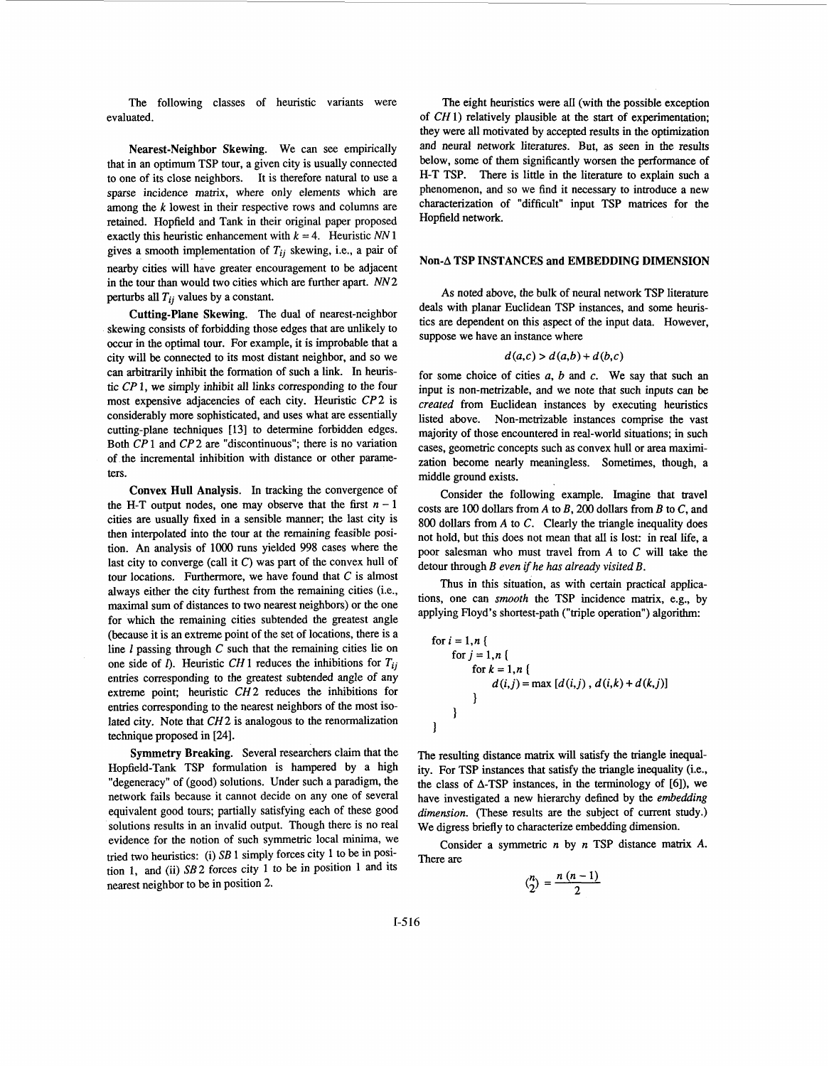The following classes of heuristic variants were evaluated.

**Nearest-Neighbor Skewing.** We can see empirically that in an optimum TSP tour, a given city is usually connected to one of its close neighbors. It is therefore natural to use a sparse incidence matrix, where only elements which are among the *k* lowest in their respective rows and columns are retained. Hopfield and Tank in their original paper proposed exactly this heuristic enhancement with  $k = 4$ . Heuristic *NN* 1 gives a smooth implementation of  $T_{ij}$  skewing, i.e., a pair of nearby cities will have greater encouragement to be adjacent in the tour than would two cities which are further apart. *NN2*  perturbs **all** *Ti,* values by a constant.

**Cutting-Plane Skewing.** The dual of nearest-neighbor skewing consists of forbidding those edges that are unlikely to occur in the optimal tour. For example, it is improbable that a city will be connected to its most distant neighbor, and so we can arbitrarily inhibit the formation of such a link. In heuristic *CP 1,* we simply inhibit all links corresponding to the four most expensive adjacencies of each city. Heuristic *CP2* is considerably more sophisticated, and uses what are essentially cutting-plane techniques [13] to determine forbidden edges. Both *CP 1* and *CP2* are "discontinuous"; there is no variation of the incremental inhibition with distance or other parameters.

**Convex Hull Analysis.** In tracking the convergence of the H-T output nodes, one may observe that the first  $n - 1$ cities are usually fixed in a sensible manner; the last city is then interpolated into the tour at the remaining feasible position. **An** analysis of *lo00* runs yielded **998** cases where the last city to converge (call it C) was part of the convex hull of tour locations. Furthermore, we have found that  $C$  is almost always either the city furthest from the remaining cities (i.e., maximal sum of distances to two nearest neighbors) or the one for which the remaining cities subtended the greatest angle (because it is **an** extreme point of the set of locations, there is a line *1* passing through C such that the remaining cities lie on one side of *I*). Heuristic *CH* 1 reduces the inhibitions for  $T_{ij}$ entries corresponding to the greatest subtended angle of any extreme point; heuristic *CH 2* reduces the inhibitions for entries corresponding to the nearest neighbors of the most isolated city. Note that *CH2* is analogous to the renormalization technique proposed in *[24].* 

**Symmetry Breaking.** Several researchers claim that the Hopfield-Tank TSP formulation is hampered by a high "degeneracy" of (good) solutions. Under such a paradigm, the network fails because it cannot decide on any one of several equivalent good tours; partially satisfying each of these good solutions results in an invalid output. Though there is no real evidence for the notion of such symmetric local minima, we tried two heuristics: (i) *SB* 1 simply forces city 1 to be in position *1,* and (ii) *SB2* forces city 1 to be in position *1* and its nearest neighbor to be in position *2.* 

The eight heuristics were all (with the possible exception of *CH 1)* relatively plausible at the **start** of experimentation; they were all motivated by accepted results in the optimization and neural network literatures. But, as seen in the results below, some of them significantly worsen the performance of H-T TSP. There is little in the literature to explain such a phenomenon, and so we find it necessary to introduce a new characterization of "difficult" input TSP matrices for the Hopfield network.

### **Non-A TSP INSTANCES and EMBEDDING DIMENSION**

**As** noted above, the bulk of neural network TSP literature deals with planar Euclidean TSP instances, and some heuristics are dependent on this aspect of the input data. However, suppose we have **an** instance where

#### $d(a,c) > d(a,b) + d(b,c)$

for some choice of cities *a, b* and c. We say that such an input is non-metrizable, and we note that such inputs can be *created* from Euclidean instances by executing heuristics listed above. Non-metrizable instances comprise the vast majority of those encountered in real-world situations; in such cases, geometric concepts such as convex hull or area maximization become nearly meaningless. Sometimes, though, a middle ground exists.

Consider the following example. Imagine that travel costs are *100* dollars from *A* to *B, 200* dollars from *B* to C, and 800 dollars from **A** to C. Clearly the triangle inequality does not hold, but this does not mean that **all** is lost: in real life, a poor salesman who must travel from **A** to C will take the detour through *B even if he has already visited B.* 

Thus in this situation, as with certain practical applications, one can *smooth* the TSP incidence matrix, e.g., by applying Floyd's shortest-path ("triple operation") algorithm:

for 
$$
i = 1, n
$$
 {  
for  $j = 1, n$  {  
for  $k = 1, n$  {  
 $d(i,j) = max [d(i,j), d(i,k) + d(k,j)]$  }  
}}

The resulting distance matrix will satisfy the triangle inequality. For TSP instances that satisfy the triangle inequality (i.e., the class of A-TSP instances, in the terminology of *[6]),* we have investigated a new hierarchy defined by the *embedding dimension.* (These results are the subject of current study.)

We digress briefly to characterize embedding dimension.<br>
Consider a symmetric *n* by *n* TSP distance matr<br>
There are<br>  $\binom{n}{2} = \frac{n (n - 1)}{2}$ Consider a symmetric *n* by *n* TSP distance matrix **A.**  There are

$$
{n \choose 2} = \frac{n (n-1)}{2}
$$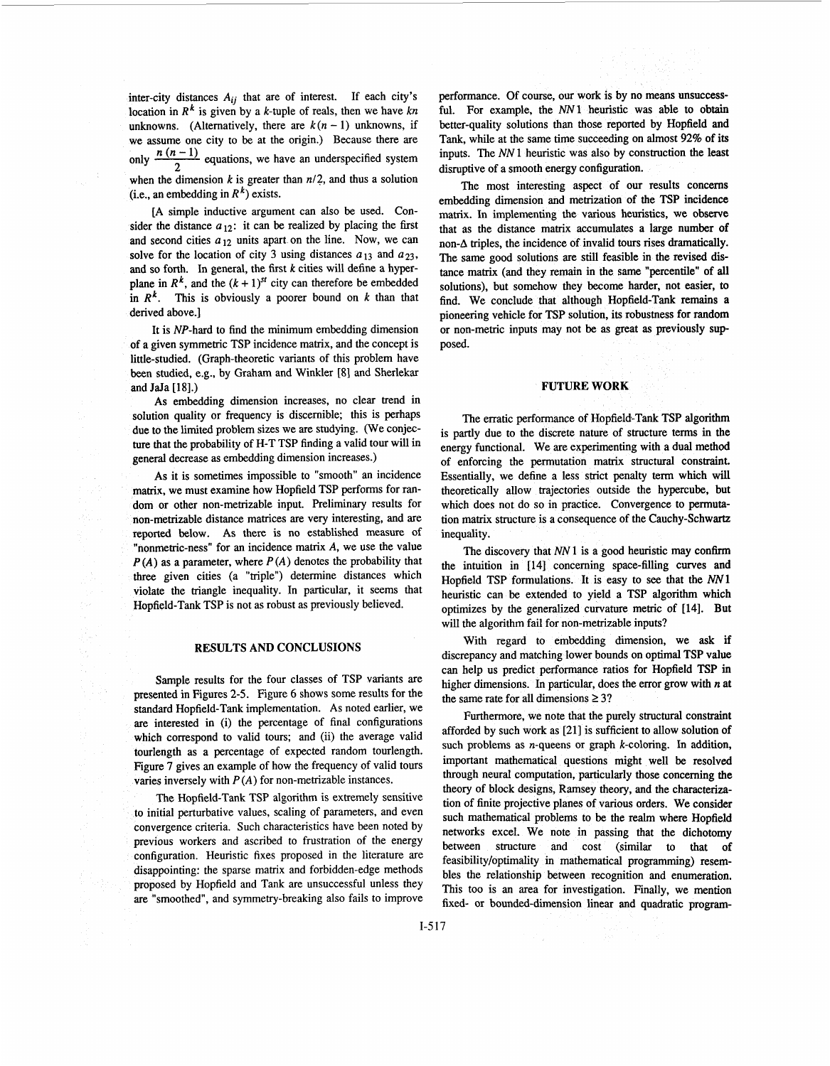inter-city distances *Aij* that are of interest. If each city's location in  $R^k$  is given by a k-tuple of reals, then we have  $kn$ unknowns. (Alternatively, there are  $k(n - 1)$  unknowns, if we assume one city to be at the origin.) Because there are inter-city distances  $A_{ij}$  that are of interest. If each city's<br>location in  $R^k$  is given by a k-tuple of reals, then we have kn<br>unknowns. (Alternatively, there are  $k(n - 1)$  unknowns, if<br>we assume one city to be at the when the dimension  $k$  is greater than  $n/2$ , and thus a solution (i.e., an embedding in  $R^k$ ) exists. *n* (*n* – 1) 2

[A simple inductive argument can also be used. Consider the distance  $a_{12}$ : it can be realized by placing the first and second cities  $a_{12}$  units apart on the line. Now, we can solve for the location of city 3 using distances  $a_{13}$  and  $a_{23}$ , and so forth. In general, the first  $k$  cities will define a hyperplane in  $R^k$ , and the  $(k + 1)^{st}$  city can therefore be embedded in  $R^k$ . This is obviously a poorer bound on  $k$  than that derived above.]

It is NP-hard to find the minimum embedding dimension of a given symmetric TSP incidence matrix, and the concept is little-studied. (Graph-theoretic variants of this problem have been studied, e.g., by Graham and Winkler [8] and Sherlekar and JaJa [18].)

**As** embedding dimension increases, no clear trend in solution quality or frequency is discernible; this is perhaps due to the limited problem sizes we are studying. (We conjecture that the probability of H-T TSP finding a valid tour will in general decrease as embedding dimension increases.)

**As** it is sometimes impossible to "smooth" an incidence matrix, we must examine how Hopfield TSP performs for random or other non-metrizable input. Preliminary results for non-metrizable distance matrices are very interesting, and are reported below. **As** there is no established measure of "nonmetric-ness" for an incidence matrix *A,* we use the value  $P(A)$  as a parameter, where  $P(A)$  denotes the probability that three given cities (a "triple") determine distances which violate the triangle inequality. In particular, it seems that Hopfield-Tank TSP is not as robust as previously believed.

#### RESULTS AND CONCLUSIONS

Sample results for the four classes of TSP variants are presented in Figures 2-5. Figure *6* shows some results **for** the standard Hopfield-Tank implementation. As noted earlier, we are interested in (i) the percentage of final configurations which correspond to valid tours; and (ii) the average valid tourlength as a percentage of expected random tourlength. [Figure 7](#page-7-0) gives an example of how the frequency of valid tours varies inversely with P *(A)* for non-metrizable instances.

The Hopfield-Tank TSP algorithm is extremely sensitive to initial perturbative values, scaling of parameters, and even convergence criteria. Such characteristics have been noted by previous workers and ascribed to frustration of the energy configuration. Heuristic fixes proposed in the literature are disappointing: the sparse matrix and forbidden-edge methods proposed by Hopfield and Tank are unsuccessful unless they are "smoothed", and symmetry-breaking also fails to improve

performance. Of course, our work **is** by no means unsuccessful. For example, the NN1 heuristic was able to **obtain**  better-quality solutions than those reported by Hopfield and Tank, while at the same time succeeding on almost **92%** of its inputs. The NN 1 heuristic was also by construction the least disruptive of a smooth energy configuration.

The most interesting aspect of our results concerns embedding dimension and metrization of the TSP incidence matrix. In implementing the various heuristics, we observe that as the distance matrix accumulates a large number of non-A triples, the incidence of invalid tours rises dramatically. The same good solutions are still feasible in the revised distance matrix (and they remain in the same "percentile" of all solutions), but somehow they become harder, not easier, to find. We conclude that although Hopfield-Tank remains a pioneering vehicle for TSP solution, its robustness for random or non-metric inputs may not be as great **as** previously **sup**posed.

#### FUTURE WORK

The erratic performance of Hopfield-Tank TSP algorithm **is** partly due to the discrete nature of structure terms in the energy functional. We are experimenting with a dual method of enforcing the permutation matrix structural constraint. Essentially, we define a less strict penalty term which will theoretically allow trajectories outside the hypercube, but which does not do so in practice. Convergence to permutation matrix structure is a consequence of the Cauchy-Schwartz inequality.

The discovery that NN 1 is a good heuristic may confirm the intuition in [14] concerning space-filling curves and Hopfield TSP formulations. It is easy to see that the *NNl*  heuristic can be extended to yield a TSP algorithm which optimizes by the generalized curvature metric of [14]. But will the algorithm fail for non-metrizable inputs?

With regard to embedding dimension, we ask **if**  discrepancy and matching lower bounds on optimal TSP value can help us predict performance ratios for Hopfield TSP in higher dimensions. In particular, does the error grow with *n* at the same rate for all dimensions  $\geq 3$ ?

Furthermore, we note that the purely structural constraint afforded by such work as [21] is sufficient to allow solution of such problems as  $n$ -queens or graph  $k$ -coloring. In addition, important mathematical questions might well be resolved through neural computation, particularly those concerning the theory of block designs, Ramsey theory, and the characterization of finite projective planes of various orders. We consider such mathematical problems to be the realm where Hopfield networks excel. We note in passing that the dichotomy between structure and cost (similar to that **of**  feasibility/optimality in mathematical programming) resembles the relationship between recognition and enumeration. This too is an area for investigation. Finally, we mention fixed- or bounded-dimension linear and quadratic program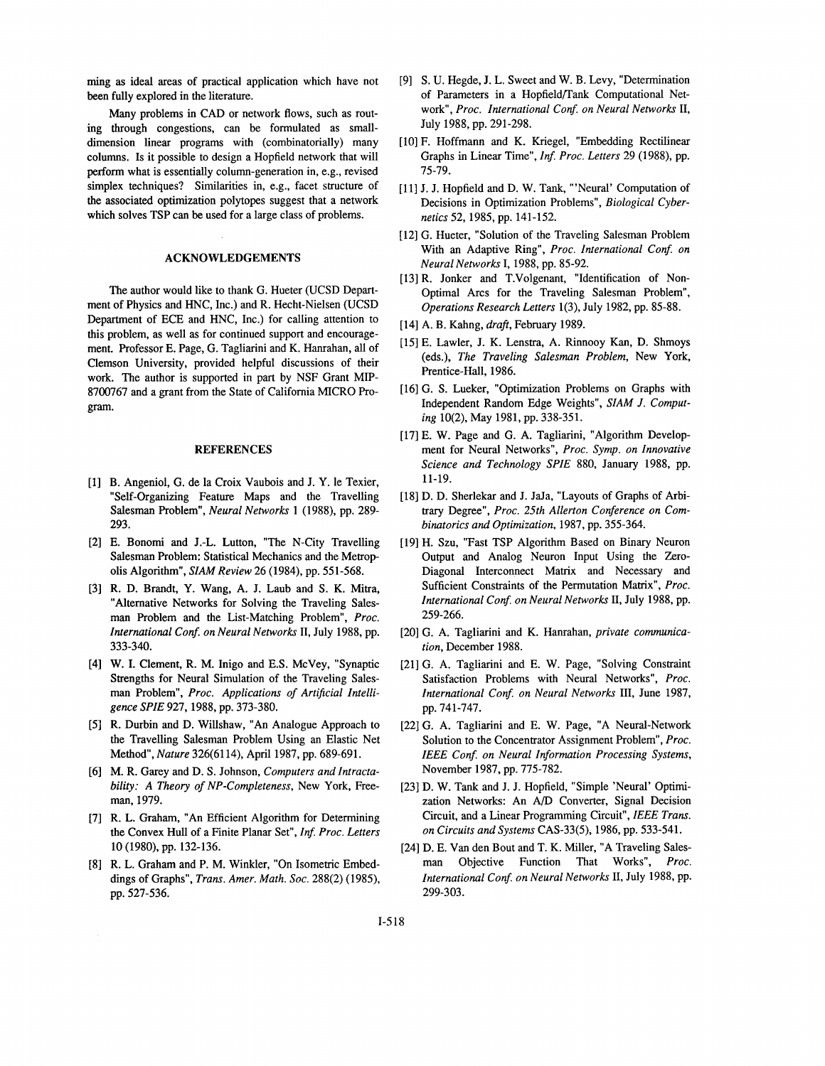ming **as** ideal areas of practical application which have not been fully explored in the literature.

Many problems in CAD or network flows, such as routing through congestions, can be formulated as smalldimension linear programs with (combinatorially) many columns. **Is** it possible to design a Hopfield network that will perform what is essentially column-generation in, e.g., revised simplex techniques? Similarities in, e.g., facet structure of the associated optimization polytopes suggest that a network which solves TSP can be used for a large class of problems.

# **ACKNOWLEDGEMENTS**

The author would like to thank G. Hueter (UCSD Department of Physics and HNC, Inc.) and R. Hecht-Nielsen (UCSD Department of ECE and HNC, Inc.) for calling attention to this problem, as well as for continued support and encouragement. Professor **E.** Page, G. Tagliarini and K. Hanrahan, all of Clemson University, provided helpful discussions of their work. The author is supported in part by NSF Grant MIP-8700767 and a grant from the State of California MICRO Program.

### **REFERENCES**

- [1] B. Angeniol, G. de la Croix Vaubois and J. Y. le Texier, "Self-Organizing Feature Maps and the Travelling Salesman Problem", *Neural Networks* 1 (1988), pp. 289- 293.
- [2] E. Bonomi and J.-L. Lutton, "The N-City Travelling Salesman Problem: Statistical Mechanics and the Metropolis Algorithm", *SIAM Review* 26 (1984), pp. 551-568.
- [3] R. D. Brandt, Y. Wang, A. J. Laub and **S.** K. Mitra, "Alternative Networks for Solving the Traveling Salesman Problem and the List-Matching Problem", *Proc. International Conf on Neural Networks* 11, July 1988, pp. 333-340.
- [4] W. **I.** Clement, R. M. Inigo and E.S. McVey, "Synaptic Strengths for Neural Simulation of the Traveling Salesman Problem", *Proc. Applications of Artificial Intelligence SPIE* 927,1988, pp. 373-380.
- [5] R. Durbin and D. Willshaw, "An Analogue Approach to the Travelling Salesman Problem Using an Elastic Net Method", *Nature* 326(6114), April 1987, pp. 689-691.
- [6] M. R. Garey and D. **S.** Johnson, *Computers and Intractability: A Theory of NP-Completeness,* New York, Freeman, 1979.
- [7] R. L. Graham, "An Efficient Algorithm for Determining the Convex Hull of a Finite Planar Set", *Inf Proc. Letters*  10 (1980), pp. 132-136.
- [8] R. L. Graham and P. M. Winkler, "On Isometric Embeddings of Graphs", *Trans. Amer. Math.* Soc. 288(2) (1985), pp. 527-536.
- [9] **S.** U. Hegde, J. L. Sweet and W. B. Levy, "Determination of Parameters in a Hopfield/Tank Computational Network", *Proc. International Conf. on Neural Networks* 11, July 1988, pp. 291-298.
- [10] F. Hoffmann and K. Kriegel, "Embedding Rectilinear Graphs in Linear Time", *lnf. Proc. Letters* 29 (1988), pp. 75-79.
- [11] J. J. Hopfield and D. W. Tank, "'Neural' Computation of Decisions in Optimization Problems", *Biological Cybernetics* 52, 1985, pp. 141-152.
- [12] G. Hueter, "Solution of the Traveling Salesman Problem With an Adaptive Ring", Proc. International Conf. on *Neural Networks* **I,** 1988, pp. 85-92.
- [13] R. Jonker and T.Volgenant, "Identification of Non-Optimal Arcs for the Traveling Salesman Problem", *Operations Research Letters* 1(3), July 1982, pp. 85-88.
- 141 A. B. Kahng, *draft,* February 1989.
- 151 E. Lawler, J. K. Lenstra, A. Rinnooy Kan, D. Shmoys (eds.), *The Traveling Salesman Problem,* New York, Prentice-Hall, 1986.
- 161 G. **S.** Lueker, "Optimization Problems on Graphs with Independent Random Edge Weights", *SIAM J. Computing* 10(2), May 1981, pp. 338-351.
- [17] E. W. Page and G. A. Tagliarini, "Algorithm Development for Neural Networks", *Proc. Symp. on Innovative Science and Technology SPIE* 880, January 1988, pp. 11-19.
- [18] D. D. Sherlekar and J. JaJa, "Layouts of Graphs of Arbitrary Degree", *Proc. 25th Allerton Conference on Combinatorics and Optimization,* 1987, pp. 355-364.
- [19] H. Szu, "Fast TSP Algorithm Based on Binary Neuron Output and Analog Neuron Input Using the Zero-Diagonal Interconnect Matrix and Necessary and Sufficient Constraints of the Permutation Matrix", *Proc. International Conf on Neural Networks* **II,** July 1988, pp. 259-266.
- [20] G. A. Tagliarini and K. Hanrahan, *private communication,* December 1988.
- [21] G. A. Tagliarini and E. W. Page, "Solving Constraint Satisfaction Problems with Neural Networks", *Proc. International Conf on Neural Networks* **111,** June 1987, pp. 741-747.
- [22] G. A. Tagliarini and E. W. Page, "A Neural-Network Solution to the Concentrator Assignment Problem", *Proc. IEEE Conf on Neural Information Processing Systems,*  November 1987, pp. 775-782.
- [23] D. W. Tank and J. J. Hopfield, "Simple 'Neural' Optimization Networks: An A/D Converter, Signal Decision Circuit, and a Linear Programming Circuit", *IEEE Trans. on Circuits and Systems* **CAS-33(5),** 1986, pp. 533-541.
- [24] D. E. Van den Bout and T. K. Miller, "A Traveling Salesman Objective Function That Works", *Proc. International Conf. on Neural Networks* **11,** July 1988, pp. 299-303.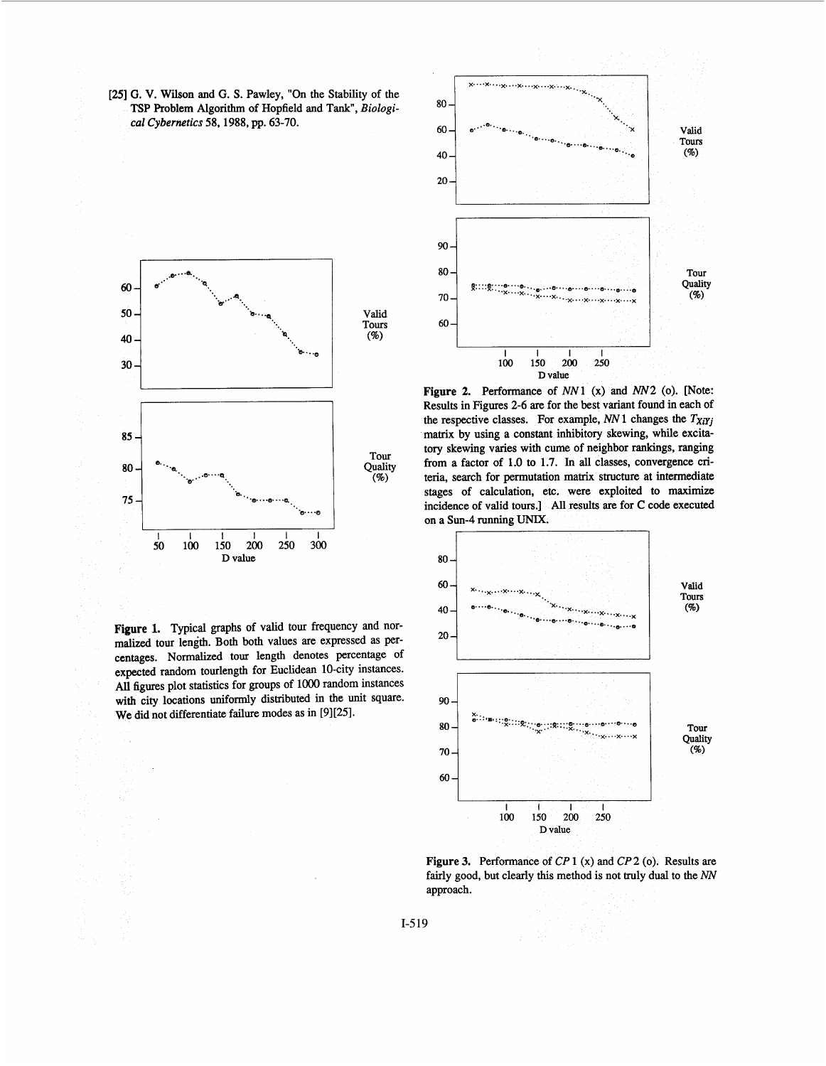[25] G. V. Wilson and G. S. Pawley, "On the Stability of the TSP Problem Algorithm of Hopfield and Tank", Biological Cybernetics 58, 1988, pp. 63-70.



Figure 1. Typical graphs of valid tour frequency and normalized tour length. Both both values are expressed as percentages. Normalized tour length denotes percentage of expected random tourlength for Euclidean 10-city instances. All figures plot statistics for groups of 1000 random instances with city locations uniformly distributed in the unit square. We did not differentiate failure modes as in [9][25].



Figure 2. Performance of  $NN1$  (x) and  $NN2$  (o). [Note: Results in Figures 2-6 are for the best variant found in each of the respective classes. For example,  $NN1$  changes the  $T_{XiYi}$ matrix by using a constant inhibitory skewing, while excitatory skewing varies with cume of neighbor rankings, ranging from a factor of 1.0 to 1.7. In all classes, convergence criteria, search for permutation matrix structure at intermediate stages of calculation, etc. were exploited to maximize incidence of valid tours.] All results are for C code executed on a Sun-4 running UNIX.



Figure 3. Performance of  $CP1(x)$  and  $CP2(0)$ . Results are fairly good, but clearly this method is not truly dual to the NN approach.